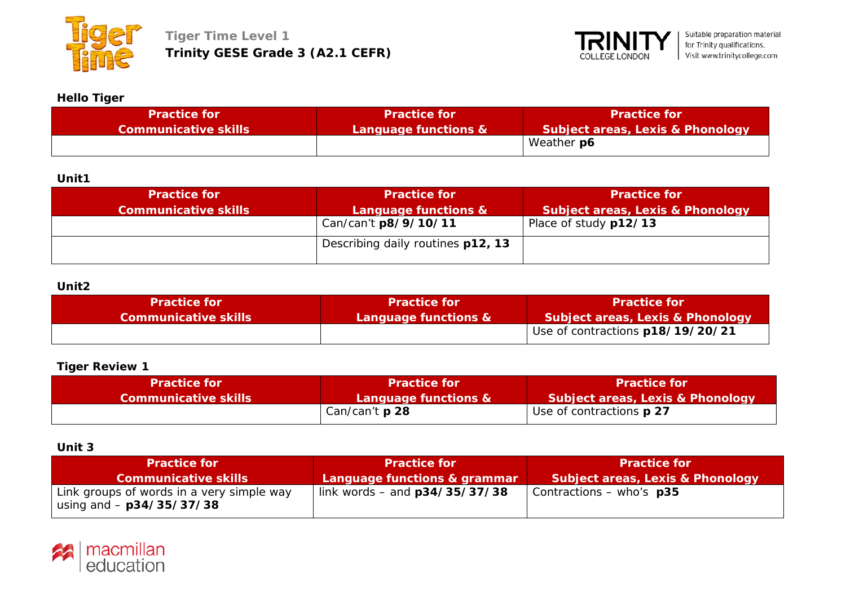



### **Hello Tiger**

| <b>Practice for</b>         | <b>Practice for</b>  | 'Practice for                               |
|-----------------------------|----------------------|---------------------------------------------|
| <b>Communicative skills</b> | Language functions & | <b>Subject areas, Lexis &amp; Phonology</b> |
|                             |                      | Weather p6                                  |

### **Unit1**

| <b>Practice for</b><br><b>Communicative skills</b> | <b>Practice for</b><br>Language functions & | <b>Practice for</b><br><b>Subject areas, Lexis &amp; Phonology</b> |
|----------------------------------------------------|---------------------------------------------|--------------------------------------------------------------------|
|                                                    | Can/can't p8/9/10/11                        | Place of study p12/13                                              |
|                                                    | Describing daily routines p12, 13           |                                                                    |

#### **Unit2**

| <b>Practice for</b>  | <b>Practice for</b>  | <b>Practice for</b>              |
|----------------------|----------------------|----------------------------------|
| Communicative skills | Language functions & | Subject areas, Lexis & Phonology |
|                      |                      | Use of contractions p18/19/20/21 |

# **Tiger Review 1**

| Practice for                | <b>Practice for</b>   | <b>Practice for</b>                         |
|-----------------------------|-----------------------|---------------------------------------------|
| <b>Communicative skills</b> | Language functions &  | <b>Subject areas, Lexis &amp; Phonology</b> |
|                             | Can/can't <b>p 28</b> | Use of contractions <b>p 27</b>             |

### **Unit 3**

| <b>Practice for</b>                                                     | <b>Practice for</b>             | <b>Practice for</b>              |
|-------------------------------------------------------------------------|---------------------------------|----------------------------------|
| Communicative skills                                                    | Language functions & grammar    | Subject areas, Lexis & Phonology |
| Link groups of words in a very simple way<br>using and $-$ p34/35/37/38 | link words – and $p34/35/37/38$ | Contractions – who's $p35$       |

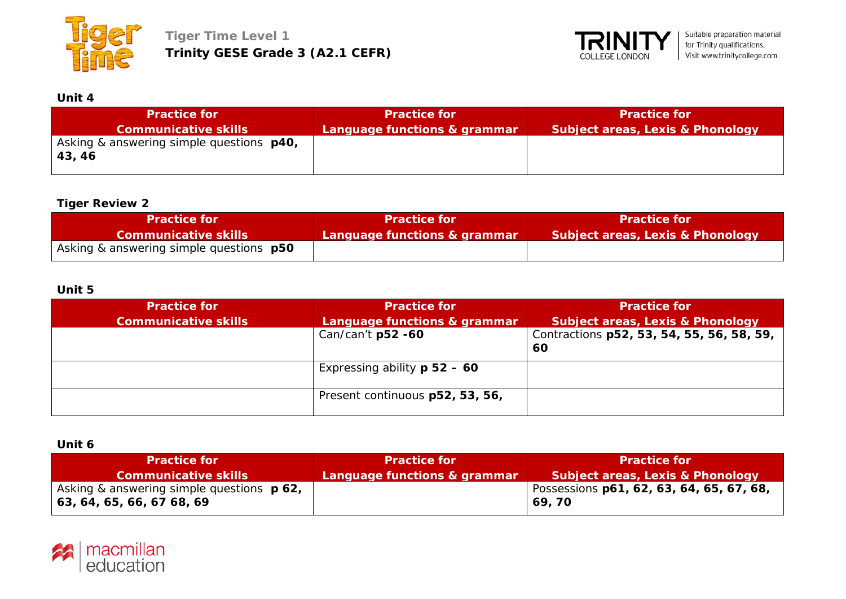



# **Unit 4**

| <b>Practice for</b>                                        | <b>Practice for</b>          | <b>Practice for</b>                         |
|------------------------------------------------------------|------------------------------|---------------------------------------------|
| <b>Communicative skills</b>                                | Language functions & grammar | <b>Subject areas, Lexis &amp; Phonology</b> |
| Asking & answering simple questions <b>p40</b> ,<br>43, 46 |                              |                                             |

## **Tiger Review 2**

| <b>Practice for</b>                            | <b>Practice for</b>          | <b>Practice for</b>              |
|------------------------------------------------|------------------------------|----------------------------------|
| <b>Communicative skills</b>                    | Language functions & grammar | Subject areas, Lexis & Phonology |
| Asking & answering simple questions <b>p50</b> |                              |                                  |

# **Unit 5**

| <b>Practice for</b>         | <b>Practice for</b>             | <b>Practice for</b>                         |
|-----------------------------|---------------------------------|---------------------------------------------|
| <b>Communicative skills</b> | Language functions & grammar    | <b>Subject areas, Lexis &amp; Phonology</b> |
|                             | Can/can't p52 -60               | Contractions p52, 53, 54, 55, 56, 58, 59,   |
|                             |                                 | 60                                          |
|                             | Expressing ability $p 52 - 60$  |                                             |
|                             | Present continuous p52, 53, 56, |                                             |

**Unit 6**

| <b>Practice for</b>                                                                         | <b>Practice for</b>          | <b>Practice for</b>                                |
|---------------------------------------------------------------------------------------------|------------------------------|----------------------------------------------------|
| <b>Communicative skills</b>                                                                 | Language functions & grammar | Subject areas, Lexis & Phonology                   |
| Asking & answering simple questions <b>p 62</b> ,<br>$  63, 64, 65, 66, 67, 68, 69 \rangle$ |                              | Possessions p61, 62, 63, 64, 65, 67, 68,<br>69, 70 |

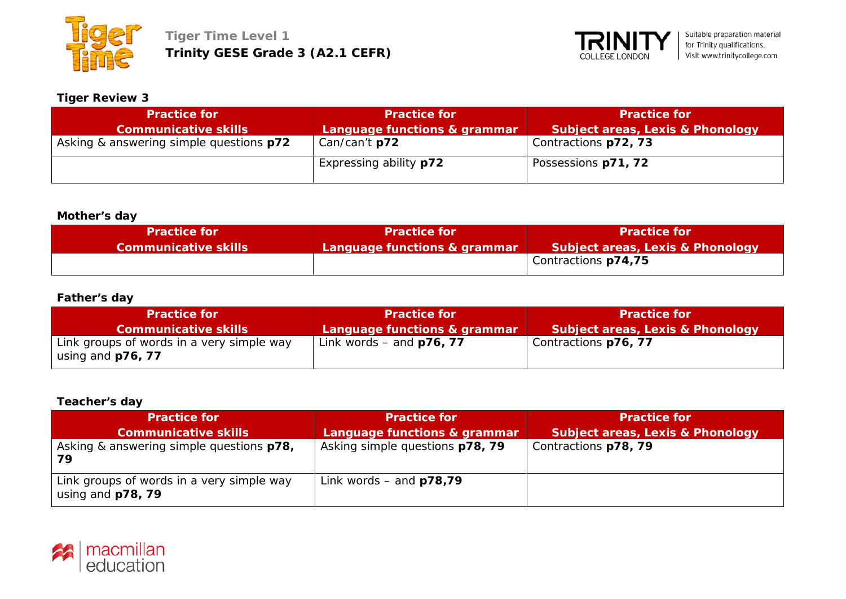



### **Tiger Review 3**

| <b>Practice for</b>                     | <b>Practice for</b>           | <b>Practice for</b>              |
|-----------------------------------------|-------------------------------|----------------------------------|
| <b>Communicative skills</b>             | Language functions & grammar  | Subject areas, Lexis & Phonology |
| Asking & answering simple questions p72 | Can/can't p72                 | Contractions p72, 73             |
|                                         | Expressing ability <b>p72</b> | Possessions p71, 72              |

### **Mother's day**

| <b>Practice for</b>         | <b>Practice for</b>          | <b>Practice for</b>              |
|-----------------------------|------------------------------|----------------------------------|
| <b>Communicative skills</b> | Language functions & grammar | Subject areas, Lexis & Phonology |
|                             |                              | Contractions p74,75              |

### **Father's day**

| <b>Practice for</b>                                            | <b>Practice for</b>          | <b>Practice for</b>                         |
|----------------------------------------------------------------|------------------------------|---------------------------------------------|
| <b>Communicative skills</b>                                    | Language functions & grammar | <b>Subject areas, Lexis &amp; Phonology</b> |
| Link groups of words in a very simple way<br>using and p76, 77 | Link words – and $p76, 77$   | Contractions p76, 77                        |

### **Teacher's day**

| <b>Practice for</b>                                            | <b>Practice for</b>             | <b>Practice for</b>                         |
|----------------------------------------------------------------|---------------------------------|---------------------------------------------|
| <b>Communicative skills</b>                                    | Language functions & grammar    | <b>Subject areas, Lexis &amp; Phonology</b> |
| Asking & answering simple questions p78,<br>79                 | Asking simple questions p78, 79 | Contractions p78, 79                        |
| Link groups of words in a very simple way<br>using and p78, 79 | Link words – and $p78,79$       |                                             |